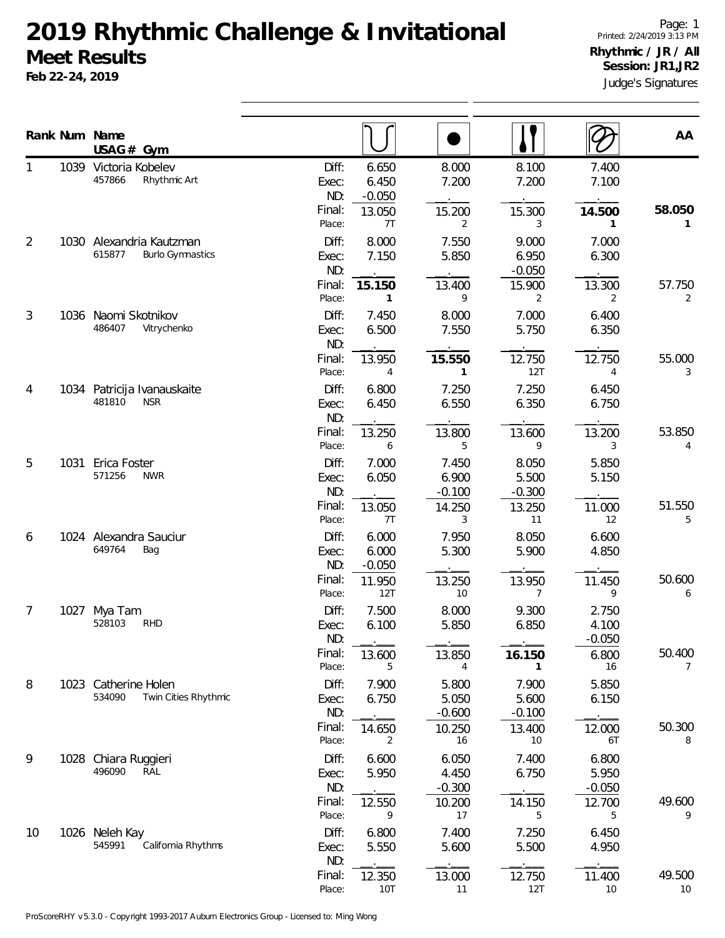## **2019 Rhythmic Challenge & Invitational Meet Results**

**Feb 22-24, 2019**

Judge's Signatures Page: 1 Printed: 2/24/2019 3:13 PM **Rhythmic / JR / All Session: JR1,JR2**

|    |      | Rank Num Name<br>$USAG#$ Gym                                  |                                                                             |                                            |                                           |                                           | AA                        |
|----|------|---------------------------------------------------------------|-----------------------------------------------------------------------------|--------------------------------------------|-------------------------------------------|-------------------------------------------|---------------------------|
|    | 1039 | Victoria Kobelev<br>457866<br>Rhythmic Art                    | Diff:<br>6.650<br>6.450<br>Exec:<br>ND:<br>$-0.050$<br>Final:<br>13.050     | 8.000<br>7.200<br>15.200                   | 8.100<br>7.200<br>15.300                  | 7.400<br>7.100<br>14.500                  | 58.050                    |
| 2  |      | 1030 Alexandria Kautzman<br>615877<br><b>Burlo Gymnastics</b> | Place:<br>7T<br>Diff:<br>8.000<br>7.150<br>Exec:<br>ND:<br>Final:<br>15.150 | 2<br>7.550<br>5.850<br>13.400              | 3<br>9.000<br>6.950<br>$-0.050$<br>15.900 | 1<br>7.000<br>6.300<br>13.300             | $\mathbf{1}$<br>57.750    |
| 3  | 1036 | Naomi Skotnikov<br>486407<br>Vitrychenko                      | Place:<br>1<br>Diff:<br>7.450<br>6.500<br>Exec:<br>ND:                      | 9<br>8.000<br>7.550                        | 2<br>7.000<br>5.750                       | 2<br>6.400<br>6.350                       | $\overline{2}$            |
| 4  | 1034 | Patricija Ivanauskaite<br>481810<br><b>NSR</b>                | Final:<br>13.950<br>Place:<br>4<br>Diff:<br>6.800<br>6.450<br>Exec:         | 15.550<br>$\mathbf{1}$<br>7.250<br>6.550   | 12.750<br>12T<br>7.250<br>6.350           | 12.750<br>4<br>6.450<br>6.750             | 55.000<br>3               |
| 5  | 1031 | Erica Foster                                                  | ND:<br>Final:<br>13.250<br>Place:<br>6<br>Diff:<br>7.000                    | 13.800<br>5<br>7.450                       | 13.600<br>9<br>8.050                      | 13.200<br>3<br>5.850                      | 53.850<br>4               |
|    |      | 571256<br><b>NWR</b>                                          | 6.050<br>Exec:<br>ND:<br>Final:<br>13.050<br>7T<br>Place:                   | 6.900<br>$-0.100$<br>14.250<br>3           | 5.500<br>$-0.300$<br>13.250<br>11         | 5.150<br>11.000<br>12                     | 51.550<br>5               |
| 6  | 1024 | Alexandra Sauciur<br>649764<br>Bag                            | Diff:<br>6.000<br>6.000<br>Exec:<br>ND:<br>$-0.050$<br>Final:<br>11.950     | 7.950<br>5.300<br>13.250                   | 8.050<br>5.900<br>13.950                  | 6.600<br>4.850<br>11.450                  | 50.600                    |
| 7  | 1027 | Mya Tam<br>528103<br><b>RHD</b>                               | Place:<br>12T<br>Diff:<br>7.500<br>6.100<br>Exec:<br>ND:                    | 10<br>8.000<br>5.850                       | 7<br>9.300<br>6.850                       | 9<br>2.750<br>4.100<br>$-0.050$           | 6                         |
| 8  | 1023 | Catherine Holen                                               | Final:<br>13.600<br>Place:<br>5<br>Diff:<br>7.900                           | 13.850<br>4<br>5.800                       | 16.150<br>1<br>7.900                      | 6.800<br>16<br>5.850                      | 50.400<br>$7^{\circ}$     |
|    |      | 534090<br>Twin Cities Rhythmic                                | 6.750<br>Exec:<br>ND:<br>Final:<br>14.650<br>Place:<br>2                    | 5.050<br>$-0.600$<br>10.250<br>16          | 5.600<br>$-0.100$<br>13.400<br>10         | 6.150<br>12.000<br>6T                     | 50.300<br>8               |
| 9  | 1028 | Chiara Ruggieri<br>496090<br>RAL                              | Diff:<br>6.600<br>5.950<br>Exec:<br>ND:<br>Final:<br>12.550<br>Place:<br>9  | 6.050<br>4.450<br>$-0.300$<br>10.200<br>17 | 7.400<br>6.750<br>14.150<br>5             | 6.800<br>5.950<br>$-0.050$<br>12.700<br>5 | 49.600<br>9               |
| 10 |      | 1026 Neleh Kay<br>545991<br>California Rhythms                | Diff:<br>6.800<br>5.550<br>Exec:<br>ND:                                     | 7.400<br>5.600                             | 7.250<br>5.500                            | 6.450<br>4.950                            |                           |
|    |      |                                                               | Final:<br>12.350<br>Place:<br><b>10T</b>                                    | 13.000<br>11                               | 12.750<br>12T                             | 11.400<br>$10$                            | 49.500<br>10 <sup>°</sup> |